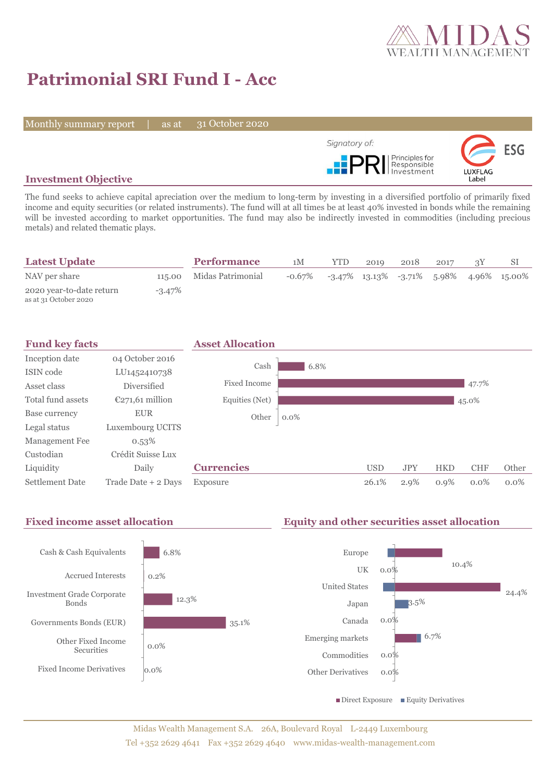

# **Patrimonial SRI Fund I - Acc**

Monthly summary report | as at

31 October 2020



## **Investment Objective**

The fund seeks to achieve capital apreciation over the medium to long-term by investing in a diversified portfolio of primarily fixed income and equity securities (or related instruments). The fund will at all times be at least 40% invested in bonds while the remaining will be invested according to market opportunities. The fund may also be indirectly invested in commodities (including precious metals) and related thematic plays.

| <b>Latest Update</b>                              |           | <b>Performance</b>       | 1M                                                                  | <b>YTD</b> | 2019 | 2018 | 2017 |  |
|---------------------------------------------------|-----------|--------------------------|---------------------------------------------------------------------|------------|------|------|------|--|
| NAV per share                                     |           | 115.00 Midas Patrimonial | $-0.67\%$ $-3.47\%$ $13.13\%$ $-3.71\%$ $5.98\%$ $4.96\%$ $15.00\%$ |            |      |      |      |  |
| 2020 year-to-date return<br>as at 31 October 2020 | $-3.47\%$ |                          |                                                                     |            |      |      |      |  |



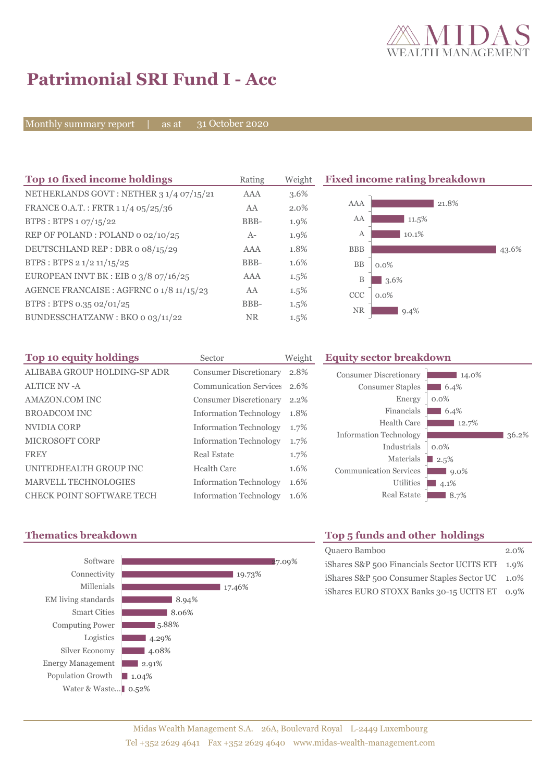

# **Patrimonial SRI Fund I - Acc**

Monthly summary report | as at 31 October 2020

| Top 10 fixed income holdings             | Rating     | Weight  | <b>Fixed income</b>   |
|------------------------------------------|------------|---------|-----------------------|
| NETHERLANDS GOVT: NETHER 3 1/4 07/15/21  | <b>AAA</b> | 3.6%    |                       |
| FRANCE O.A.T.: FRTR 1 1/4 05/25/36       | AA         | $2.0\%$ | AAA                   |
| BTPS: BTPS 1 07/15/22                    | BBB-       | 1.9%    | AA                    |
| REP OF POLAND: POLAND 0 02/10/25         | $A-$       | 1.9%    | А                     |
| DEUTSCHLAND REP: DBR o 08/15/29          | <b>AAA</b> | 1.8%    | <b>BBB</b>            |
| BTPS: BTPS 2 1/2 11/15/25                | BBB-       | 1.6%    | <b>BB</b><br>$0.0\%$  |
| EUROPEAN INVT BK : EIB 0 3/8 07/16/25    | <b>AAA</b> | $1.5\%$ | B<br>3.6              |
| AGENCE FRANCAISE : AGFRNC 0 1/8 11/15/23 | AA         | $1.5\%$ | <b>CCC</b><br>$0.0\%$ |
| BTPS: BTPS 0.35 02/01/25                 | BBB-       | $1.5\%$ | <b>NR</b>             |
| BUNDESSCHATZANW: BKO o 03/11/22          | <b>NR</b>  | $1.5\%$ |                       |

**The 10 fixed incondent incondent incondent incondent incondent incondent incondent incondent incondent inconde** 



| Top 10 equity holdings           | Sector                        | Weight |
|----------------------------------|-------------------------------|--------|
| ALIBABA GROUP HOLDING-SP ADR     | <b>Consumer Discretionary</b> | 2.8%   |
| ALTICE NV-A                      | <b>Communication Services</b> | 2.6%   |
| AMAZON.COM INC                   | <b>Consumer Discretionary</b> | 2.2%   |
| <b>BROADCOM INC</b>              | <b>Information Technology</b> | 1.8%   |
| NVIDIA CORP                      | <b>Information Technology</b> | 1.7%   |
| <b>MICROSOFT CORP</b>            | <b>Information Technology</b> | 1.7%   |
| <b>FREY</b>                      | Real Estate                   | 1.7%   |
| UNITEDHEALTH GROUP INC           | Health Care                   | 1.6%   |
| <b>MARVELL TECHNOLOGIES</b>      | <b>Information Technology</b> | 1.6%   |
| <b>CHECK POINT SOFTWARE TECH</b> | <b>Information Technology</b> | 1.6%   |

## **Equity sector breakdown**

| <b>Consumer Discretionary</b> | 14.0%   |
|-------------------------------|---------|
| <b>Consumer Staples</b>       | 6.4%    |
| Energy                        | $0.0\%$ |
| Financials                    | 6.4%    |
| Health Care                   | 12.7%   |
| <b>Information Technology</b> | 36.2%   |
| Industrials                   | $0.0\%$ |
| Materials                     | 2.5%    |
| <b>Communication Services</b> | $9.0\%$ |
| Utilities                     | 4.1%    |
| <b>Real Estate</b>            | 8.7%    |
|                               |         |



# **Thematics breakdown Top 5 funds and other holdings**

| Quaero Bamboo                                    | $2.0\%$ |
|--------------------------------------------------|---------|
| iShares S&P 500 Financials Sector UCITS ETI 1.9% |         |
| iShares S&P 500 Consumer Staples Sector UC 1.0%  |         |
| iShares EURO STOXX Banks 30-15 UCITS ET 0.9%     |         |